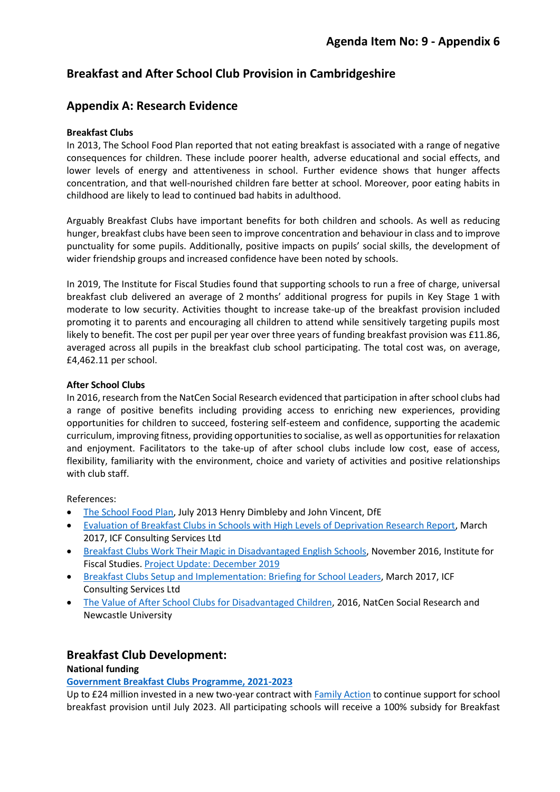# **Breakfast and After School Club Provision in Cambridgeshire**

# **Appendix A: Research Evidence**

# **Breakfast Clubs**

In 2013, The School Food Plan reported that not eating breakfast is associated with a range of negative consequences for children. These include poorer health, adverse educational and social effects, and lower levels of energy and attentiveness in school. Further evidence shows that hunger affects concentration, and that well-nourished children fare better at school. Moreover, poor eating habits in childhood are likely to lead to continued bad habits in adulthood.

Arguably Breakfast Clubs have important benefits for both children and schools. As well as reducing hunger, breakfast clubs have been seen to improve concentration and behaviour in class and to improve punctuality for some pupils. Additionally, positive impacts on pupils' social skills, the development of wider friendship groups and increased confidence have been noted by schools.

In 2019, The Institute for Fiscal Studies found that supporting schools to run a free of charge, universal breakfast club delivered an average of 2 months' additional progress for pupils in Key Stage 1 with moderate to low security. Activities thought to increase take-up of the breakfast provision included promoting it to parents and encouraging all children to attend while sensitively targeting pupils most likely to benefit. The cost per pupil per year over three years of funding breakfast provision was £11.86, averaged across all pupils in the breakfast club school participating. The total cost was, on average, £4,462.11 per school.

# **After School Clubs**

In 2016, research from the NatCen Social Research evidenced that participation in after school clubs had a range of positive benefits including providing access to enriching new experiences, providing opportunities for children to succeed, fostering self-esteem and confidence, supporting the academic curriculum, improving fitness, providing opportunities to socialise, as well as opportunities for relaxation and enjoyment. Facilitators to the take-up of after school clubs include low cost, ease of access, flexibility, familiarity with the environment, choice and variety of activities and positive relationships with club staff.

References:

- [The School Food Plan,](https://www.gov.uk/government/publications/the-school-food-plan) July 2013 Henry Dimbleby and John Vincent, DfE
- [Evaluation of Breakfast Clubs in Schools with High Levels of Deprivation Research Report,](https://assets.publishing.service.gov.uk/government/uploads/system/uploads/attachment_data/file/603946/Evaluation_of_Breakfast_Clubs_-_Final_Report.pdf) March 2017, ICF Consulting Services Ltd
- [Breakfast Clubs Work Their Magic in Disadvantaged English Schools,](https://ifs.org.uk/publications/8714) November 2016, Institute for Fiscal Studies[. Project Update: December 2019](https://educationendowmentfoundation.org.uk/projects-and-evaluation/projects/magic-breakfast)
- [Breakfast Clubs Setup and Implementation: Briefing for School Leaders,](https://assets.publishing.service.gov.uk/government/uploads/system/uploads/attachment_data/file/603947/Evaluation_of_Breakfast_Clubs_-School_briefing.pdf) March 2017, ICF Consulting Services Ltd
- [The Value of After School Clubs for Disadvantaged Children,](https://eprints.ncl.ac.uk/file_store/production/232456/3BDEE6A8-646B-4EE8-B01F-ED0C672C21C6.pdf) 2016, NatCen Social Research and Newcastle University

# **Breakfast Club Development:**

# **National funding**

# **[Government Breakfast Clubs Programme, 2021-2023](https://www.gov.uk/guidance/breakfast-clubs-programme-2021-2023)**

Up to £24 million invested in a new two-year contract with **Family Action** to continue support for school breakfast provision until July 2023. All participating schools will receive a 100% subsidy for Breakfast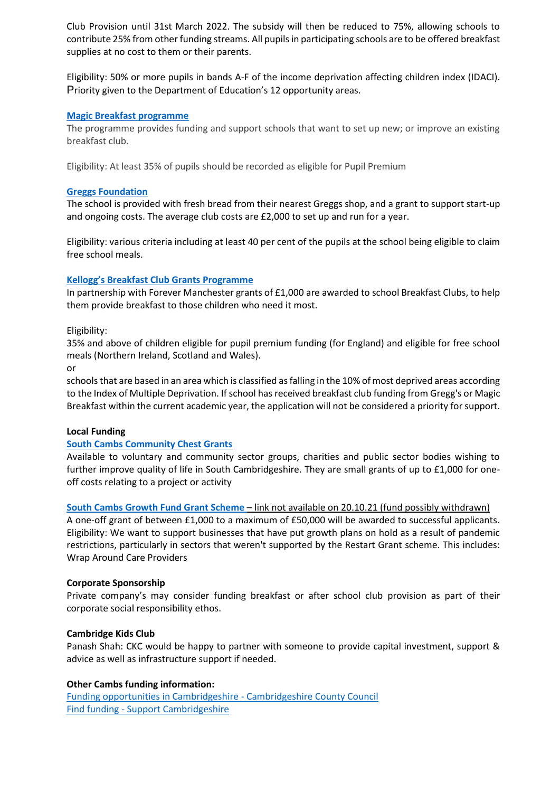Club Provision until 31st March 2022. The subsidy will then be reduced to 75%, allowing schools to contribute 25% from other funding streams. All pupils in participating schools are to be offered breakfast supplies at no cost to them or their parents.

Eligibility: 50% or more pupils in bands A-F of the income deprivation affecting children index (IDACI). Priority given to the Department of Education's 12 opportunity areas.

## **[Magic Breakfast programme](https://mfip.org.uk/2021/02/23/funding-for-school-breakfast-clubs-uk/)**

The programme provides funding and support schools that want to set up new; or improve an existing breakfast club.

Eligibility: At least 35% of pupils should be recorded as eligible for Pupil Premium

#### **[Greggs Foundation](https://www.greggsfoundation.org.uk/breakfast-clubs)**

The school is provided with fresh bread from their nearest Greggs shop, and a grant to support start-up and ongoing costs. The average club costs are £2,000 to set up and run for a year.

Eligibility: various criteria including at least 40 per cent of the pupils at the school being eligible to claim free school meals.

#### **[Kellogg's Breakfast Club Grants Programme](https://www.tfaforms.com/445397)**

In partnership with Forever Manchester grants of £1,000 are awarded to school Breakfast Clubs, to help them provide breakfast to those children who need it most.

Eligibility:

35% and above of children eligible for pupil premium funding (for England) and eligible for free school meals (Northern Ireland, Scotland and Wales).

or

schools that are based in an area which is classified as falling in the 10% of most deprived areas according to the Index of Multiple Deprivation. If school has received breakfast club funding from Gregg's or Magic Breakfast within the current academic year, the application will not be considered a priority for support.

#### **Local Funding**

## **[South Cambs Community Chest Grants](https://www.scambs.gov.uk/communitychest)**

Available to voluntary and community sector groups, charities and public sector bodies wishing to further improve quality of life in South Cambridgeshire. They are small grants of up to £1,000 for oneoff costs relating to a project or activity

**[South Cambs Growth Fund Grant Scheme](https://www.scambs.gov.uk/business/growth-fund-grant-scheme/)** – link not available on 20.10.21 (fund possibly withdrawn)

A one-off grant of between £1,000 to a maximum of £50,000 will be awarded to successful applicants. Eligibility: We want to support businesses that have put growth plans on hold as a result of pandemic restrictions, particularly in sectors that weren't supported by the Restart Grant scheme. This includes: Wrap Around Care Providers

#### **Corporate Sponsorship**

Private company's may consider funding breakfast or after school club provision as part of their corporate social responsibility ethos.

## **Cambridge Kids Club**

Panash Shah: CKC would be happy to partner with someone to provide capital investment, support & advice as well as infrastructure support if needed.

## **Other Cambs funding information:**

[Funding opportunities in Cambridgeshire -](https://www.cambridgeshire.gov.uk/council/communities-localism/funding-opportunities-in-cambridgeshire) Cambridgeshire County Council Find funding - [Support Cambridgeshire](https://www.supportcambridgeshire.org.uk/find-funding/)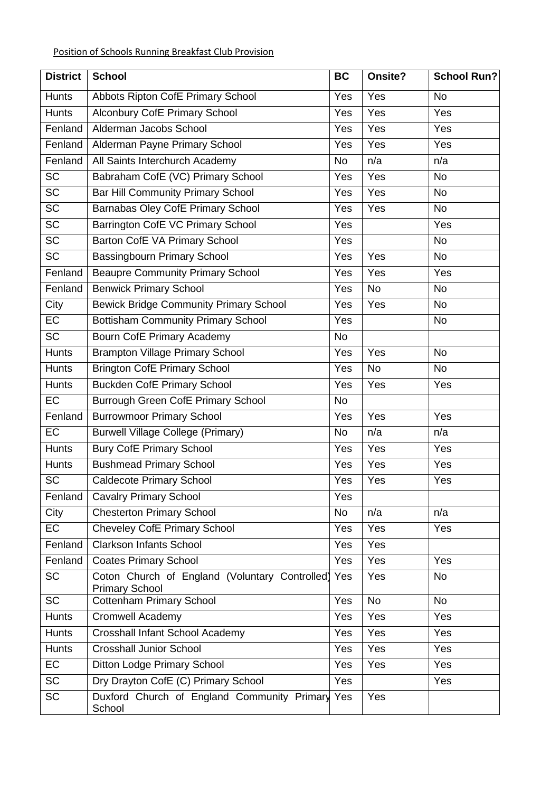| <b>District</b> | <b>School</b>                                                           | <b>BC</b> | Onsite?   | School Run? |
|-----------------|-------------------------------------------------------------------------|-----------|-----------|-------------|
| <b>Hunts</b>    | Abbots Ripton CofE Primary School                                       | Yes       | Yes       | <b>No</b>   |
| <b>Hunts</b>    | <b>Alconbury CofE Primary School</b>                                    | Yes       | Yes       | Yes         |
| Fenland         | Alderman Jacobs School                                                  | Yes       | Yes       | Yes         |
| Fenland         | Alderman Payne Primary School                                           | Yes       | Yes       | Yes         |
| Fenland         | All Saints Interchurch Academy                                          | <b>No</b> | n/a       | n/a         |
| <b>SC</b>       | Babraham CofE (VC) Primary School                                       | Yes       | Yes       | <b>No</b>   |
| $\overline{SC}$ | <b>Bar Hill Community Primary School</b>                                | Yes       | Yes       | No          |
| <b>SC</b>       | Barnabas Oley CofE Primary School                                       | Yes       | Yes       | No          |
| <b>SC</b>       | Barrington CofE VC Primary School                                       | Yes       |           | Yes         |
| $\overline{SC}$ | Barton CofE VA Primary School                                           | Yes       |           | <b>No</b>   |
| <b>SC</b>       | Bassingbourn Primary School                                             | Yes       | Yes       | <b>No</b>   |
| Fenland         | <b>Beaupre Community Primary School</b>                                 | Yes       | Yes       | Yes         |
| Fenland         | <b>Benwick Primary School</b>                                           | Yes       | <b>No</b> | <b>No</b>   |
| City            | <b>Bewick Bridge Community Primary School</b>                           | Yes       | Yes       | No          |
| <b>EC</b>       | <b>Bottisham Community Primary School</b>                               | Yes       |           | <b>No</b>   |
| <b>SC</b>       | <b>Bourn CofE Primary Academy</b>                                       | No        |           |             |
| <b>Hunts</b>    | <b>Brampton Village Primary School</b>                                  | Yes       | Yes       | <b>No</b>   |
| <b>Hunts</b>    | <b>Brington CofE Primary School</b>                                     | Yes       | <b>No</b> | <b>No</b>   |
| <b>Hunts</b>    | <b>Buckden CofE Primary School</b>                                      | Yes       | Yes       | Yes         |
| <b>EC</b>       | <b>Burrough Green CofE Primary School</b>                               | <b>No</b> |           |             |
| Fenland         | <b>Burrowmoor Primary School</b>                                        | Yes       | Yes       | Yes         |
| <b>EC</b>       | <b>Burwell Village College (Primary)</b>                                | <b>No</b> | n/a       | n/a         |
| <b>Hunts</b>    | <b>Bury CofE Primary School</b>                                         | Yes       | Yes       | Yes         |
| <b>Hunts</b>    | <b>Bushmead Primary School</b>                                          | Yes       | Yes       | Yes         |
| <b>SC</b>       | <b>Caldecote Primary School</b>                                         | Yes       | Yes       | Yes         |
| Fenland         | <b>Cavalry Primary School</b>                                           | Yes       |           |             |
| City            | <b>Chesterton Primary School</b>                                        | <b>No</b> | n/a       | n/a         |
| <b>EC</b>       | <b>Cheveley CofE Primary School</b>                                     | Yes       | Yes       | Yes         |
| Fenland         | <b>Clarkson Infants School</b>                                          | Yes       | Yes       |             |
| Fenland         | <b>Coates Primary School</b>                                            | Yes       | Yes       | Yes         |
| <b>SC</b>       | Coton Church of England (Voluntary Controlled)<br><b>Primary School</b> | Yes       | Yes       | <b>No</b>   |
| <b>SC</b>       | <b>Cottenham Primary School</b>                                         | Yes       | <b>No</b> | <b>No</b>   |
| <b>Hunts</b>    | Cromwell Academy                                                        | Yes       | Yes       | Yes         |
| <b>Hunts</b>    | Crosshall Infant School Academy                                         | Yes       | Yes       | Yes         |
| <b>Hunts</b>    | <b>Crosshall Junior School</b>                                          | Yes       | Yes       | Yes         |
| EC              | Ditton Lodge Primary School                                             | Yes       | Yes       | Yes         |
| <b>SC</b>       | Dry Drayton CofE (C) Primary School                                     | Yes       |           | Yes         |
| <b>SC</b>       | Duxford Church of England Community Primary<br>School                   | Yes       | Yes       |             |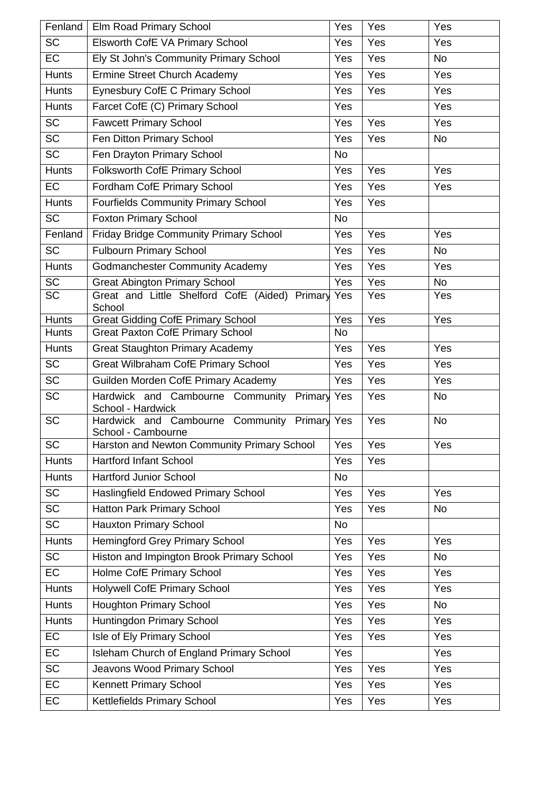| Fenland         | Elm Road Primary School                                            | Yes                       | Yes | Yes       |
|-----------------|--------------------------------------------------------------------|---------------------------|-----|-----------|
| <b>SC</b>       | Elsworth CofE VA Primary School                                    | Yes                       | Yes | Yes       |
| EC              | Ely St John's Community Primary School                             | Yes                       | Yes | <b>No</b> |
| <b>Hunts</b>    | <b>Ermine Street Church Academy</b>                                | Yes                       | Yes | Yes       |
| <b>Hunts</b>    | Eynesbury CofE C Primary School                                    | Yes                       | Yes | Yes       |
| <b>Hunts</b>    | Farcet CofE (C) Primary School                                     | Yes                       |     | Yes       |
| <b>SC</b>       | <b>Fawcett Primary School</b>                                      | Yes                       | Yes | Yes       |
| $\overline{SC}$ | Fen Ditton Primary School                                          | Yes                       | Yes | <b>No</b> |
| <b>SC</b>       | Fen Drayton Primary School                                         | No                        |     |           |
| <b>Hunts</b>    | Folksworth CofE Primary School                                     | Yes                       | Yes | Yes       |
| EC              | Fordham CofE Primary School                                        | Yes                       | Yes | Yes       |
| <b>Hunts</b>    | <b>Fourfields Community Primary School</b>                         | Yes                       | Yes |           |
| <b>SC</b>       | <b>Foxton Primary School</b>                                       | <b>No</b>                 |     |           |
| Fenland         | Friday Bridge Community Primary School                             | Yes                       | Yes | Yes       |
| <b>SC</b>       | <b>Fulbourn Primary School</b>                                     | Yes                       | Yes | <b>No</b> |
| <b>Hunts</b>    | <b>Godmanchester Community Academy</b>                             | Yes                       | Yes | Yes       |
| <b>SC</b>       | <b>Great Abington Primary School</b>                               | Yes                       | Yes | <b>No</b> |
| <b>SC</b>       | Great and Little Shelford CofE (Aided) Primary<br>School           | Yes                       | Yes | Yes       |
| <b>Hunts</b>    | <b>Great Gidding CofE Primary School</b>                           | Yes                       | Yes | Yes       |
| <b>Hunts</b>    | <b>Great Paxton CofE Primary School</b>                            | No                        |     |           |
| <b>Hunts</b>    | <b>Great Staughton Primary Academy</b>                             | Yes                       | Yes | Yes       |
| $\overline{SC}$ | <b>Great Wilbraham CofE Primary School</b>                         | Yes                       | Yes | Yes       |
| <b>SC</b>       | Guilden Morden CofE Primary Academy                                | Yes                       | Yes | Yes       |
| <b>SC</b>       | Hardwick and Cambourne Community Primary Yes<br>School - Hardwick  |                           | Yes | <b>No</b> |
| <b>SC</b>       | Hardwick and Cambourne Community Primary Yes<br>School - Cambourne |                           | Yes | <b>No</b> |
| <b>SC</b>       | Harston and Newton Community Primary School                        | $\overline{\mathsf{Yes}}$ | Yes | Yes       |
| <b>Hunts</b>    | <b>Hartford Infant School</b>                                      | Yes                       | Yes |           |
| <b>Hunts</b>    | <b>Hartford Junior School</b>                                      | <b>No</b>                 |     |           |
| <b>SC</b>       | Haslingfield Endowed Primary School                                | Yes                       | Yes | Yes       |
| <b>SC</b>       | Hatton Park Primary School                                         | Yes                       | Yes | No        |
| <b>SC</b>       | <b>Hauxton Primary School</b>                                      | No                        |     |           |
| <b>Hunts</b>    | <b>Hemingford Grey Primary School</b>                              | Yes                       | Yes | Yes       |
| <b>SC</b>       | Histon and Impington Brook Primary School                          | Yes                       | Yes | No        |
| <b>EC</b>       | Holme CofE Primary School                                          | Yes                       | Yes | Yes       |
| <b>Hunts</b>    | <b>Holywell CofE Primary School</b>                                | Yes                       | Yes | Yes       |
| <b>Hunts</b>    | <b>Houghton Primary School</b>                                     | Yes                       | Yes | No        |
| <b>Hunts</b>    | Huntingdon Primary School                                          | Yes                       | Yes | Yes       |
| EC              | Isle of Ely Primary School                                         | Yes                       | Yes | Yes       |
| EC              | Isleham Church of England Primary School                           | Yes                       |     | Yes       |
| <b>SC</b>       | Jeavons Wood Primary School                                        | Yes                       | Yes | Yes       |
| EC              | Kennett Primary School                                             | Yes                       | Yes | Yes       |
| EC              | Kettlefields Primary School                                        | Yes                       | Yes | Yes       |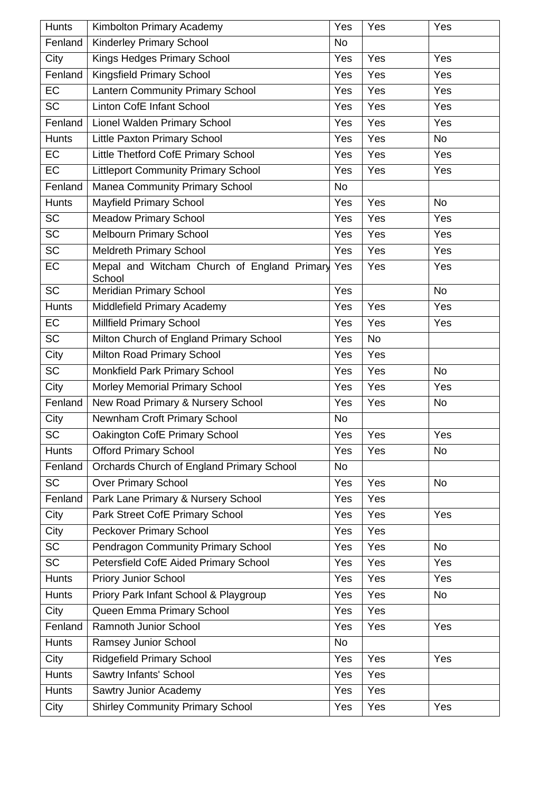| <b>Hunts</b>    | Kimbolton Primary Academy                                 | Yes       | Yes       | Yes       |
|-----------------|-----------------------------------------------------------|-----------|-----------|-----------|
| Fenland         | <b>Kinderley Primary School</b>                           | <b>No</b> |           |           |
| City            | Kings Hedges Primary School                               | Yes       | Yes       | Yes       |
| Fenland         | Kingsfield Primary School                                 | Yes       | Yes       | Yes       |
| <b>EC</b>       | Lantern Community Primary School                          | Yes       | Yes       | Yes       |
| <b>SC</b>       | Linton CofE Infant School                                 | Yes       | Yes       | Yes       |
| Fenland         | Lionel Walden Primary School                              | Yes       | Yes       | Yes       |
| <b>Hunts</b>    | <b>Little Paxton Primary School</b>                       | Yes       | Yes       | <b>No</b> |
| EC              | Little Thetford CofE Primary School                       | Yes       | Yes       | Yes       |
| <b>EC</b>       | <b>Littleport Community Primary School</b>                | Yes       | Yes       | Yes       |
| Fenland         | <b>Manea Community Primary School</b>                     | <b>No</b> |           |           |
| <b>Hunts</b>    | <b>Mayfield Primary School</b>                            | Yes       | Yes       | <b>No</b> |
| <b>SC</b>       | <b>Meadow Primary School</b>                              | Yes       | Yes       | Yes       |
| $\overline{SC}$ | <b>Melbourn Primary School</b>                            | Yes       | Yes       | Yes       |
| <b>SC</b>       | <b>Meldreth Primary School</b>                            | Yes       | Yes       | Yes       |
| EC              | Mepal and Witcham Church of England Primary Yes<br>School |           | Yes       | Yes       |
| $\overline{SC}$ | <b>Meridian Primary School</b>                            | Yes       |           | <b>No</b> |
| <b>Hunts</b>    | Middlefield Primary Academy                               | Yes       | Yes       | Yes       |
| EC              | Millfield Primary School                                  | Yes       | Yes       | Yes       |
| <b>SC</b>       | Milton Church of England Primary School                   | Yes       | <b>No</b> |           |
| City            | Milton Road Primary School                                | Yes       | Yes       |           |
| <b>SC</b>       | Monkfield Park Primary School                             | Yes       | Yes       | <b>No</b> |
| City            | Morley Memorial Primary School                            | Yes       | Yes       | Yes       |
| Fenland         | New Road Primary & Nursery School                         | Yes       | Yes       | <b>No</b> |
| City            | Newnham Croft Primary School                              | <b>No</b> |           |           |
| <b>SC</b>       | Oakington CofE Primary School                             | Yes       | Yes       | Yes       |
| <b>Hunts</b>    | <b>Offord Primary School</b>                              | Yes       | Yes       | <b>No</b> |
| Fenland         | Orchards Church of England Primary School                 | <b>No</b> |           |           |
| $\overline{SC}$ | <b>Over Primary School</b>                                | Yes       | Yes       | <b>No</b> |
| Fenland         | Park Lane Primary & Nursery School                        | Yes       | Yes       |           |
| City            | Park Street CofE Primary School                           | Yes       | Yes       | Yes       |
| City            | Peckover Primary School                                   | Yes       | Yes       |           |
| <b>SC</b>       | Pendragon Community Primary School                        | Yes       | Yes       | <b>No</b> |
| <b>SC</b>       | Petersfield CofE Aided Primary School                     | Yes       | Yes       | Yes       |
| <b>Hunts</b>    | <b>Priory Junior School</b>                               | Yes       | Yes       | Yes       |
| <b>Hunts</b>    | Priory Park Infant School & Playgroup                     | Yes       | Yes       | <b>No</b> |
| City            | Queen Emma Primary School                                 | Yes       | Yes       |           |
| Fenland         | Ramnoth Junior School                                     | Yes       | Yes       | Yes       |
| <b>Hunts</b>    | Ramsey Junior School                                      | No        |           |           |
| City            | <b>Ridgefield Primary School</b>                          | Yes       | Yes       | Yes       |
| <b>Hunts</b>    | Sawtry Infants' School                                    | Yes       | Yes       |           |
| <b>Hunts</b>    | Sawtry Junior Academy                                     | Yes       | Yes       |           |
| City            | <b>Shirley Community Primary School</b>                   | Yes       | Yes       | Yes       |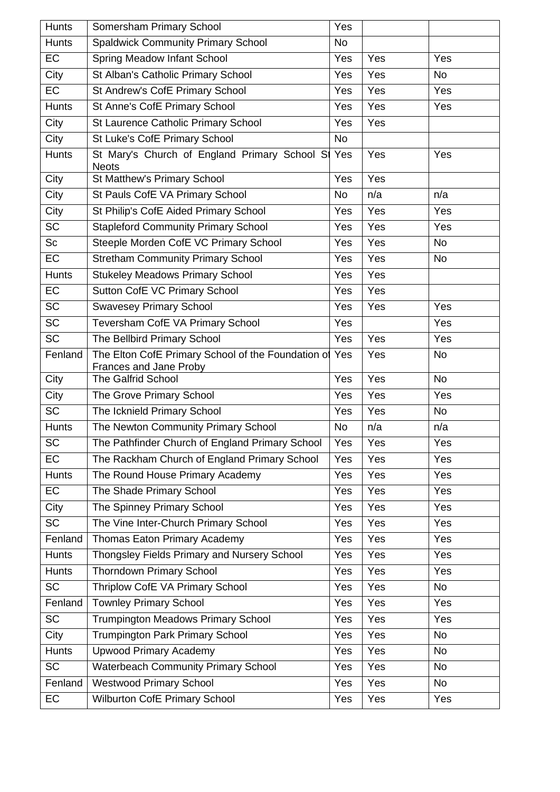| <b>Hunts</b> | Somersham Primary School                                                     | Yes       |     |           |
|--------------|------------------------------------------------------------------------------|-----------|-----|-----------|
| <b>Hunts</b> | <b>Spaldwick Community Primary School</b>                                    | <b>No</b> |     |           |
| EC           | Spring Meadow Infant School                                                  | Yes       | Yes | Yes       |
| City         | St Alban's Catholic Primary School                                           | Yes       | Yes | <b>No</b> |
| <b>EC</b>    | St Andrew's CofE Primary School                                              | Yes       | Yes | Yes       |
| <b>Hunts</b> | St Anne's CofE Primary School                                                | Yes       | Yes | Yes       |
| City         | St Laurence Catholic Primary School                                          | Yes       | Yes |           |
| City         | St Luke's CofE Primary School                                                | <b>No</b> |     |           |
| <b>Hunts</b> | St Mary's Church of England Primary School St<br><b>Neots</b>                | Yes       | Yes | Yes       |
| City         | St Matthew's Primary School                                                  | Yes       | Yes |           |
| City         | St Pauls CofE VA Primary School                                              | <b>No</b> | n/a | n/a       |
| City         | St Philip's CofE Aided Primary School                                        | Yes       | Yes | Yes       |
| <b>SC</b>    | <b>Stapleford Community Primary School</b>                                   | Yes       | Yes | Yes       |
| Sc           | Steeple Morden CofE VC Primary School                                        | Yes       | Yes | <b>No</b> |
| EC           | <b>Stretham Community Primary School</b>                                     | Yes       | Yes | <b>No</b> |
| <b>Hunts</b> | <b>Stukeley Meadows Primary School</b>                                       | Yes       | Yes |           |
| EC           | Sutton CofE VC Primary School                                                | Yes       | Yes |           |
| <b>SC</b>    | <b>Swavesey Primary School</b>                                               | Yes       | Yes | Yes       |
| <b>SC</b>    | Teversham CofE VA Primary School                                             | Yes       |     | Yes       |
| <b>SC</b>    | The Bellbird Primary School                                                  | Yes       | Yes | Yes       |
| Fenland      | The Elton CofE Primary School of the Foundation of<br>Frances and Jane Proby | Yes       | Yes | <b>No</b> |
| City         | The Galfrid School                                                           | Yes       | Yes | <b>No</b> |
| City         | The Grove Primary School                                                     | Yes       | Yes | Yes       |
| <b>SC</b>    | The Icknield Primary School                                                  | Yes       | Yes | <b>No</b> |
| <b>Hunts</b> | The Newton Community Primary School                                          | <b>No</b> | n/a | n/a       |
| <b>SC</b>    | The Pathfinder Church of England Primary School                              | Yes       | Yes | Yes       |
| EC           | The Rackham Church of England Primary School                                 | Yes       | Yes | Yes       |
| <b>Hunts</b> | The Round House Primary Academy                                              | Yes       | Yes | Yes       |
| <b>EC</b>    | The Shade Primary School                                                     | Yes       | Yes | Yes       |
| City         | The Spinney Primary School                                                   | Yes       | Yes | Yes       |
| <b>SC</b>    | The Vine Inter-Church Primary School                                         | Yes       | Yes | Yes       |
| Fenland      | Thomas Eaton Primary Academy                                                 | Yes       | Yes | Yes       |
| <b>Hunts</b> | Thongsley Fields Primary and Nursery School                                  | Yes       | Yes | Yes       |
| <b>Hunts</b> | <b>Thorndown Primary School</b>                                              | Yes       | Yes | Yes       |
| <b>SC</b>    | Thriplow CofE VA Primary School                                              | Yes       | Yes | <b>No</b> |
| Fenland      | <b>Townley Primary School</b>                                                | Yes       | Yes | Yes       |
| <b>SC</b>    | <b>Trumpington Meadows Primary School</b>                                    | Yes       | Yes | Yes       |
| City         | <b>Trumpington Park Primary School</b>                                       | Yes       | Yes | <b>No</b> |
| <b>Hunts</b> | <b>Upwood Primary Academy</b>                                                | Yes       | Yes | <b>No</b> |
| <b>SC</b>    | <b>Waterbeach Community Primary School</b>                                   | Yes       | Yes | <b>No</b> |
| Fenland      | <b>Westwood Primary School</b>                                               | Yes       | Yes | <b>No</b> |
| EC           | <b>Wilburton CofE Primary School</b>                                         | Yes       | Yes | Yes       |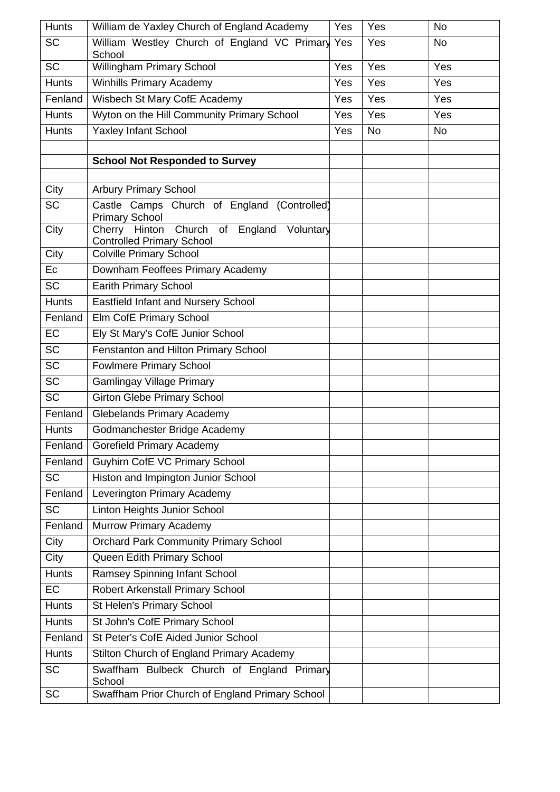| <b>Hunts</b> | William de Yaxley Church of England Academy                                            | Yes | Yes       | <b>No</b> |
|--------------|----------------------------------------------------------------------------------------|-----|-----------|-----------|
| <b>SC</b>    | William Westley Church of England VC Primary<br>School                                 | Yes | Yes       | <b>No</b> |
| <b>SC</b>    | Willingham Primary School                                                              | Yes | Yes       | Yes       |
| <b>Hunts</b> | <b>Winhills Primary Academy</b>                                                        | Yes | Yes       | Yes       |
| Fenland      | Wisbech St Mary CofE Academy                                                           | Yes | Yes       | Yes       |
| <b>Hunts</b> | Wyton on the Hill Community Primary School                                             | Yes | Yes       | Yes       |
| <b>Hunts</b> | Yaxley Infant School                                                                   | Yes | <b>No</b> | <b>No</b> |
|              |                                                                                        |     |           |           |
|              | <b>School Not Responded to Survey</b>                                                  |     |           |           |
|              |                                                                                        |     |           |           |
| City         | <b>Arbury Primary School</b>                                                           |     |           |           |
| <b>SC</b>    | Castle Camps Church of England (Controlled)<br><b>Primary School</b>                   |     |           |           |
| City         | Church<br>Cherry Hinton<br>of England<br>Voluntary<br><b>Controlled Primary School</b> |     |           |           |
| City         | <b>Colville Primary School</b>                                                         |     |           |           |
| Ec           | Downham Feoffees Primary Academy                                                       |     |           |           |
| <b>SC</b>    | <b>Earith Primary School</b>                                                           |     |           |           |
| <b>Hunts</b> | <b>Eastfield Infant and Nursery School</b>                                             |     |           |           |
| Fenland      | Elm CofE Primary School                                                                |     |           |           |
| EC           | Ely St Mary's CofE Junior School                                                       |     |           |           |
| <b>SC</b>    | Fenstanton and Hilton Primary School                                                   |     |           |           |
| <b>SC</b>    | <b>Fowlmere Primary School</b>                                                         |     |           |           |
| <b>SC</b>    | <b>Gamlingay Village Primary</b>                                                       |     |           |           |
| <b>SC</b>    | <b>Girton Glebe Primary School</b>                                                     |     |           |           |
| Fenland      | <b>Glebelands Primary Academy</b>                                                      |     |           |           |
| <b>Hunts</b> | Godmanchester Bridge Academy                                                           |     |           |           |
| Fenland      | Gorefield Primary Academy                                                              |     |           |           |
| Fenland      | <b>Guyhirn CofE VC Primary School</b>                                                  |     |           |           |
| <b>SC</b>    | Histon and Impington Junior School                                                     |     |           |           |
| Fenland      | Leverington Primary Academy                                                            |     |           |           |
| <b>SC</b>    | Linton Heights Junior School                                                           |     |           |           |
| Fenland      | <b>Murrow Primary Academy</b>                                                          |     |           |           |
| City         | <b>Orchard Park Community Primary School</b>                                           |     |           |           |
| City         | Queen Edith Primary School                                                             |     |           |           |
| <b>Hunts</b> | <b>Ramsey Spinning Infant School</b>                                                   |     |           |           |
| EC           | Robert Arkenstall Primary School                                                       |     |           |           |
| <b>Hunts</b> | St Helen's Primary School                                                              |     |           |           |
| <b>Hunts</b> | St John's CofE Primary School                                                          |     |           |           |
| Fenland      | St Peter's CofE Aided Junior School                                                    |     |           |           |
| <b>Hunts</b> | Stilton Church of England Primary Academy                                              |     |           |           |
| <b>SC</b>    | Swaffham Bulbeck Church of England Primary<br>School                                   |     |           |           |
| <b>SC</b>    | Swaffham Prior Church of England Primary School                                        |     |           |           |